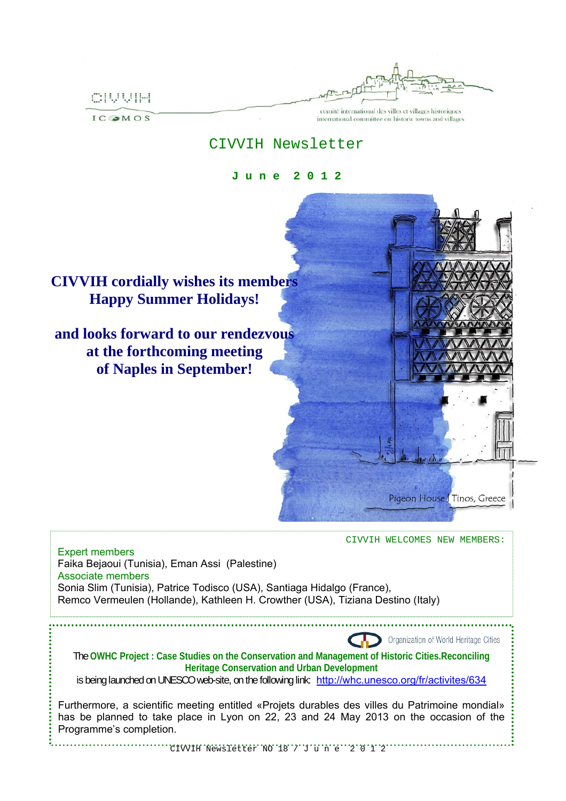CIVVIH

**IC OMOS** 

comité international des villes et villages historiques international committee on historic towns and villages

## CIVVIH Newsletter

**J u n e 2 0 1 2**



CIVVIH WELCOMES NEW MEMBERS:

Expert members Faika Bejaoui (Tunisia), Eman Assi (Palestine) Associate members Sonia Slim (Tunisia), Patrice Todisco (USA), Santiaga Hidalgo (France), Remco Vermeulen (Hollande), Kathleen H. Crowther (USA), Tiziana Destino (Italy)



The **OWHC Project : Case Studies on the Conservation and Management of Historic Cities.Reconciling Heritage Conservation and Urban Development** 

is being launched on UNESCO web-site, on the following link: http://whc.unesco.org/fr/activites/634

Furthermore, a scientific meeting entitled «Projets durables des villes du Patrimoine mondial» has be planned to take place in Lyon on 22, 23 and 24 May 2013 on the occasion of the Programme's completion.

CIVVIH Newsletter NO 18 / J u n e 2 0 1 2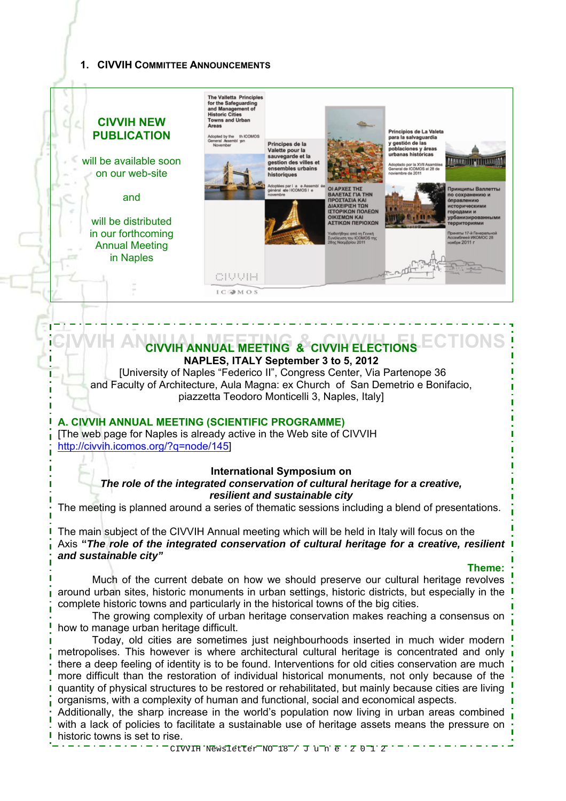## **1. CIVVIH COMMITTEE ANNOUNCEMENTS**



# **CIVVIH ANNUAL MEETING & CIVVIH ELECTIONS CIVVIH ANNUAL MEETING & CIVVIH ELECTIONS NAPLES, ITALY September 3 to 5, 2012**

 [University of Naples "Federico II", Congress Center, Via Partenope 36 and Faculty of Architecture, Aula Magna: ex Church of San Demetrio e Bonifacio, piazzetta Teodoro Monticelli 3, Naples, Italy]

## **A. CIVVIH ANNUAL MEETING (SCIENTIFIC PROGRAMME)**

[The web page for Naples is already active in the Web site of CIVVIH http://civvih.icomos.org/?q=node/145]

#### **International Symposium on**

*The role of the integrated conservation of cultural heritage for a creative, resilient and sustainable city* 

The meeting is planned around a series of thematic sessions including a blend of presentations.

The main subject of the CIVVIH Annual meeting which will be held in Italy will focus on the Axis **"***The role of the integrated conservation of cultural heritage for a creative, resilient and sustainable city"* 

#### **Theme:**

Much of the current debate on how we should preserve our cultural heritage revolves around urban sites, historic monuments in urban settings, historic districts, but especially in the complete historic towns and particularly in the historical towns of the big cities.

The growing complexity of urban heritage conservation makes reaching a consensus on how to manage urban heritage difficult.

Today, old cities are sometimes just neighbourhoods inserted in much wider modern metropolises. This however is where architectural cultural heritage is concentrated and only there a deep feeling of identity is to be found. Interventions for old cities conservation are much more difficult than the restoration of individual historical monuments, not only because of the quantity of physical structures to be restored or rehabilitated, but mainly because cities are living organisms, with a complexity of human and functional, social and economical aspects.

Additionally, the sharp increase in the world's population now living in urban areas combined with a lack of policies to facilitate a sustainable use of heritage assets means the pressure on historic towns is set to rise.

 $CIVVIH$  Newsletter NO 18 / J u n e  $Z$  0 1  $Z$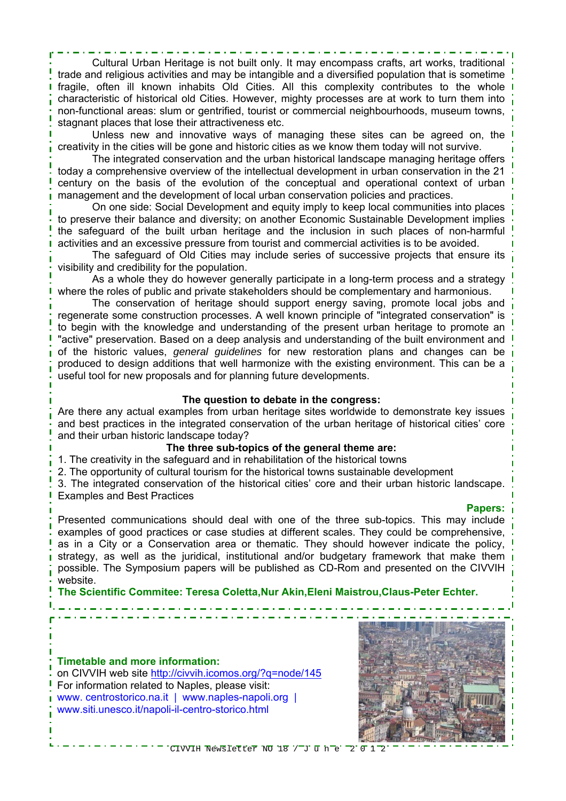Cultural Urban Heritage is not built only. It may encompass crafts, art works, traditional trade and religious activities and may be intangible and a diversified population that is sometime fragile, often ill known inhabits Old Cities. All this complexity contributes to the whole characteristic of historical old Cities. However, mighty processes are at work to turn them into non-functional areas: slum or gentrified, tourist or commercial neighbourhoods, museum towns, stagnant places that lose their attractiveness etc.

Unless new and innovative ways of managing these sites can be agreed on, the creativity in the cities will be gone and historic cities as we know them today will not survive.

The integrated conservation and the urban historical landscape managing heritage offers today a comprehensive overview of the intellectual development in urban conservation in the 21 century on the basis of the evolution of the conceptual and operational context of urban management and the development of local urban conservation policies and practices.

On one side: Social Development and equity imply to keep local communities into places to preserve their balance and diversity; on another Economic Sustainable Development implies the safeguard of the built urban heritage and the inclusion in such places of non-harmful activities and an excessive pressure from tourist and commercial activities is to be avoided.

The safeguard of Old Cities may include series of successive projects that ensure its visibility and credibility for the population.

As a whole they do however generally participate in a long-term process and a strategy where the roles of public and private stakeholders should be complementary and harmonious.

The conservation of heritage should support energy saving, promote local jobs and regenerate some construction processes. A well known principle of "integrated conservation" is to begin with the knowledge and understanding of the present urban heritage to promote an "active" preservation. Based on a deep analysis and understanding of the built environment and of the historic values, *general guidelines* for new restoration plans and changes can be produced to design additions that well harmonize with the existing environment. This can be a useful tool for new proposals and for planning future developments.

#### **The question to debate in the congress:**

Are there any actual examples from urban heritage sites worldwide to demonstrate key issues and best practices in the integrated conservation of the urban heritage of historical cities' core and their urban historic landscape today?

## **The three sub-topics of the general theme are:**

- 1. The creativity in the safeguard and in rehabilitation of the historical towns
- 2. The opportunity of cultural tourism for the historical towns sustainable development

3. The integrated conservation of the historical cities' core and their urban historic landscape. Examples and Best Practices

#### **Papers:**

Presented communications should deal with one of the three sub-topics. This may include examples of good practices or case studies at different scales. They could be comprehensive, as in a City or a Conservation area or thematic. They should however indicate the policy, strategy, as well as the juridical, institutional and/or budgetary framework that make them possible. The Symposium papers will be published as CD-Rom and presented on the CIVVIH website.

**The Scientific Commitee: Teresa Coletta,Nur Akin,Eleni Maistrou,Claus-Peter Echter.** 

**Timetable and more information:**  on CIVVIH web site http://civvih.icomos.org/?q=node/145 For information related to Naples, please visit: www. centrostorico.na.it | www.naples-napoli.org | www.siti.unesco.it/napoli-il-centro-storico.html



 $CIVTH$  Newsletter NO 18  $7$  J  $\overline{u}$  n  $\overline{e}$   $\overline{2}$   $\overline{0}$  1  $\overline{2}$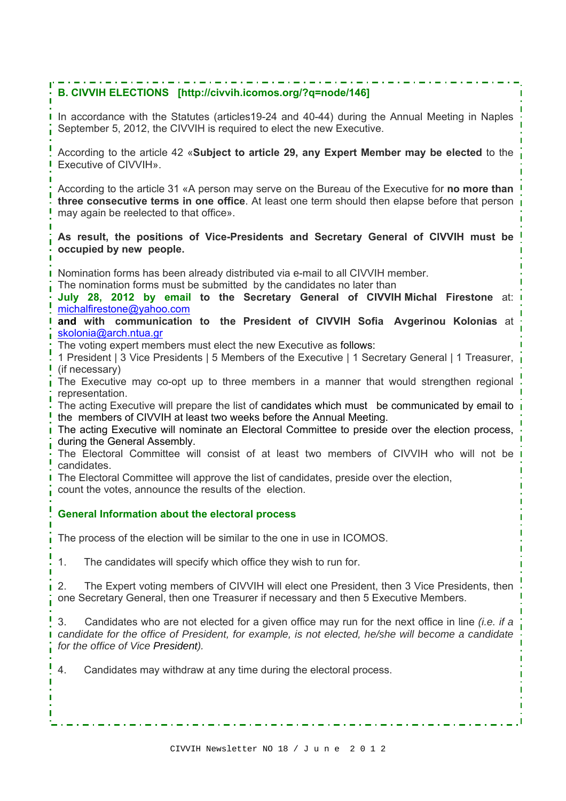## **B. CIVVIH ELECTIONS [http://civvih.icomos.org/?q=node/146]**

In accordance with the Statutes (articles19-24 and 40-44) during the Annual Meeting in Naples September 5, 2012, the CIVVIH is required to elect the new Executive.

According to the article 42 «**Subject to article 29, any Expert Member may be elected** to the Executive of CIVVIH».

According to the article 31 «A person may serve on the Bureau of the Executive for **no more than three consecutive terms in one office**. At least one term should then elapse before that person may again be reelected to that office».

**As result, the positions of Vice-Presidents and Secretary General of CIVVIH must be occupied by new people.**

Nomination forms has been already distributed via e-mail to all CIVVIH member.

The nomination forms must be submitted by the candidates no later than

**July 28, 2012 by email to the Secretary General of CIVVIH Michal Firestone** at: michalfirestone@yahoo.com

**and with communication to the President of CIVVIH Sofia Avgerinou Kolonias** at skolonia@arch.ntua.gr

The voting expert members must elect the new Executive as follows:

1 President | 3 Vice Presidents | 5 Members of the Executive | 1 Secretary General | 1 Treasurer, (if necessary)

I The Executive may co-opt up to three members in a manner that would strengthen regional representation.

The acting Executive will prepare the list of candidates which must be communicated by email to the members of CIVVIH at least two weeks before the Annual Meeting.

The acting Executive will nominate an Electoral Committee to preside over the election process, during the General Assembly.

The Electoral Committee will consist of at least two members of CIVVIH who will not be candidates.

The Electoral Committee will approve the list of candidates, preside over the election,

count the votes, announce the results of the election.

## **General Information about the electoral process**

The process of the election will be similar to the one in use in ICOMOS.

1. The candidates will specify which office they wish to run for.

2. The Expert voting members of CIVVIH will elect one President, then 3 Vice Presidents, then one Secretary General, then one Treasurer if necessary and then 5 Executive Members.

3. Candidates who are not elected for a given office may run for the next office in line *(i.e. if a candidate for the office of President, for example, is not elected, he/she will become a candidate for the office of Vice President).* 

4. Candidates may withdraw at any time during the electoral process.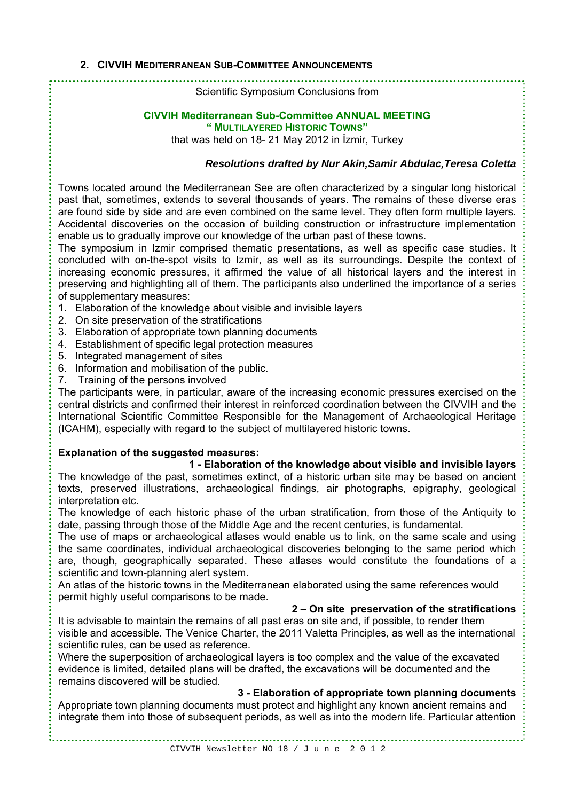#### **2. CIVVIH MEDITERRANEAN SUB-COMMITTEE ANNOUNCEMENTS**

Scientific Symposium Conclusions from

#### **CIVVIH Mediterranean Sub-Committee ANNUAL MEETING " MULTILAYERED HISTORIC TOWNS"**

that was held on 18- 21 May 2012 in İzmir, Turkey

## *Resolutions drafted by Nur Akin,Samir Abdulac,Teresa Coletta*

Towns located around the Mediterranean See are often characterized by a singular long historical past that, sometimes, extends to several thousands of years. The remains of these diverse eras are found side by side and are even combined on the same level. They often form multiple layers. Accidental discoveries on the occasion of building construction or infrastructure implementation enable us to gradually improve our knowledge of the urban past of these towns.

The symposium in Izmir comprised thematic presentations, as well as specific case studies. It concluded with on-the-spot visits to Izmir, as well as its surroundings. Despite the context of increasing economic pressures, it affirmed the value of all historical layers and the interest in preserving and highlighting all of them. The participants also underlined the importance of a series of supplementary measures:

- 1. Elaboration of the knowledge about visible and invisible layers
- 2. On site preservation of the stratifications
- 3. Elaboration of appropriate town planning documents
- 4. Establishment of specific legal protection measures
- 5. Integrated management of sites
- 6. Information and mobilisation of the public.
- 7. Training of the persons involved

The participants were, in particular, aware of the increasing economic pressures exercised on the central districts and confirmed their interest in reinforced coordination between the CIVVIH and the International Scientific Committee Responsible for the Management of Archaeological Heritage (ICAHM), especially with regard to the subject of multilayered historic towns.

## **Explanation of the suggested measures:**

#### **1 - Elaboration of the knowledge about visible and invisible layers**

The knowledge of the past, sometimes extinct, of a historic urban site may be based on ancient texts, preserved illustrations, archaeological findings, air photographs, epigraphy, geological interpretation etc.

The knowledge of each historic phase of the urban stratification, from those of the Antiquity to date, passing through those of the Middle Age and the recent centuries, is fundamental.

The use of maps or archaeological atlases would enable us to link, on the same scale and using the same coordinates, individual archaeological discoveries belonging to the same period which are, though, geographically separated. These atlases would constitute the foundations of a scientific and town-planning alert system.

An atlas of the historic towns in the Mediterranean elaborated using the same references would permit highly useful comparisons to be made.

#### **2 – On site preservation of the stratifications**

It is advisable to maintain the remains of all past eras on site and, if possible, to render them visible and accessible. The Venice Charter, the 2011 Valetta Principles, as well as the international scientific rules, can be used as reference.

Where the superposition of archaeological layers is too complex and the value of the excavated evidence is limited, detailed plans will be drafted, the excavations will be documented and the remains discovered will be studied.

## **3 - Elaboration of appropriate town planning documents**

Appropriate town planning documents must protect and highlight any known ancient remains and integrate them into those of subsequent periods, as well as into the modern life. Particular attention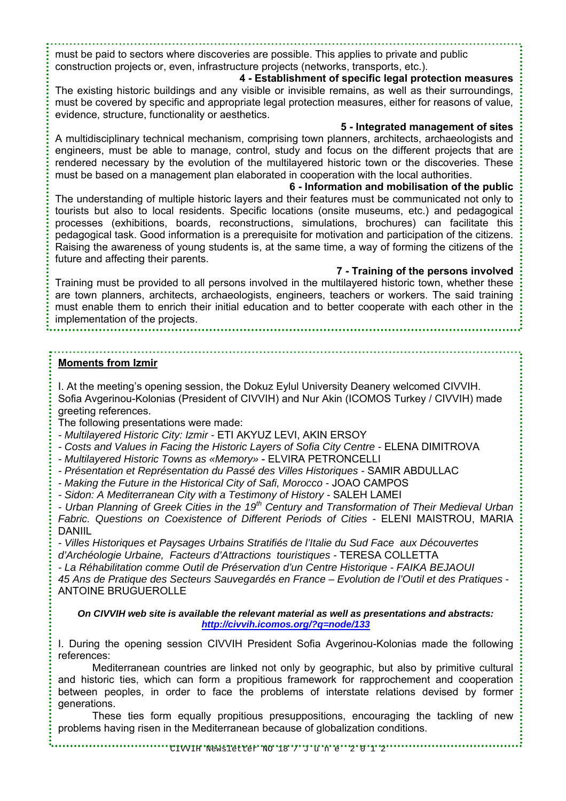must be paid to sectors where discoveries are possible. This applies to private and public construction projects or, even, infrastructure projects (networks, transports, etc.).

## **4 - Establishment of specific legal protection measures**

The existing historic buildings and any visible or invisible remains, as well as their surroundings, must be covered by specific and appropriate legal protection measures, either for reasons of value, evidence, structure, functionality or aesthetics.

**5 - Integrated management of sites**  A multidisciplinary technical mechanism, comprising town planners, architects, archaeologists and engineers, must be able to manage, control, study and focus on the different projects that are rendered necessary by the evolution of the multilayered historic town or the discoveries. These must be based on a management plan elaborated in cooperation with the local authorities.

**6 - Information and mobilisation of the public**  The understanding of multiple historic layers and their features must be communicated not only to tourists but also to local residents. Specific locations (onsite museums, etc.) and pedagogical processes (exhibitions, boards, reconstructions, simulations, brochures) can facilitate this pedagogical task. Good information is a prerequisite for motivation and participation of the citizens. Raising the awareness of young students is, at the same time, a way of forming the citizens of the future and affecting their parents.

**7 - Training of the persons involved**  Training must be provided to all persons involved in the multilayered historic town, whether these are town planners, architects, archaeologists, engineers, teachers or workers. The said training must enable them to enrich their initial education and to better cooperate with each other in the implementation of the projects.

#### **Moments from Izmir**

I. At the meeting's opening session, the Dokuz Eylul University Deanery welcomed CIVVIH. Sofia Avgerinou-Kolonias (President of CIVVIH) and Nur Akin (ICOMOS Turkey / CIVVIH) made greeting references.

The following presentations were made:

- *Multilayered Historic City: Izmir* ETI AKYUZ LEVI, AKIN ERSOY
- Costs and Values in Facing the Historic Layers of Sofia City Centre ELENA DIMITROVA
- *Multilayered Historic Towns as «Memory»*  ELVIRA PETRONCELLI
- *Présentation et Représentation du Passé des Villes Historiques* SAMIR ABDULLAC
- *Making the Future in the Historical City of Safi, Morocco* JOAO CAMPOS
- *Sidon: A Mediterranean City with a Testimony of History* SALEH LAMEI

*- Urban Planning of Greek Cities in the 19th Century and Transformation of Their Medieval Urban*  Fabric. Questions on Coexistence of Different Periods of Cities - ELENI MAISTROU, MARIA DANIIL

*- Villes Historiques et Paysages Urbains Stratifiés de l'Italie du Sud Face aux Découvertes d'Archéologie Urbaine, Facteurs d'Attractions touristiques -* TERESA COLLETTA

*- La Réhabilitation comme Outil de Préservation d'un Centre Historique - FAIKA BEJAOUI* 

*45 Ans de Pratique des Secteurs Sauvegardés en France – Evolution de l'Outil et des Pratiques -*  ANTOINE BRUGUEROLLE

*On CIVVIH web site is available the relevant material as well as presentations and abstracts: http://civvih.icomos.org/?q=node/133*

I. During the opening session CIVVIH President Sofia Avgerinou-Kolonias made the following references:

Mediterranean countries are linked not only by geographic, but also by primitive cultural and historic ties, which can form a propitious framework for rapprochement and cooperation between peoples, in order to face the problems of interstate relations devised by former generations.

These ties form equally propitious presuppositions, encouraging the tackling of new problems having risen in the Mediterranean because of globalization conditions.

CIWIH Newsletter NO'18' / 'J'u n'e ''2' 0'1'2'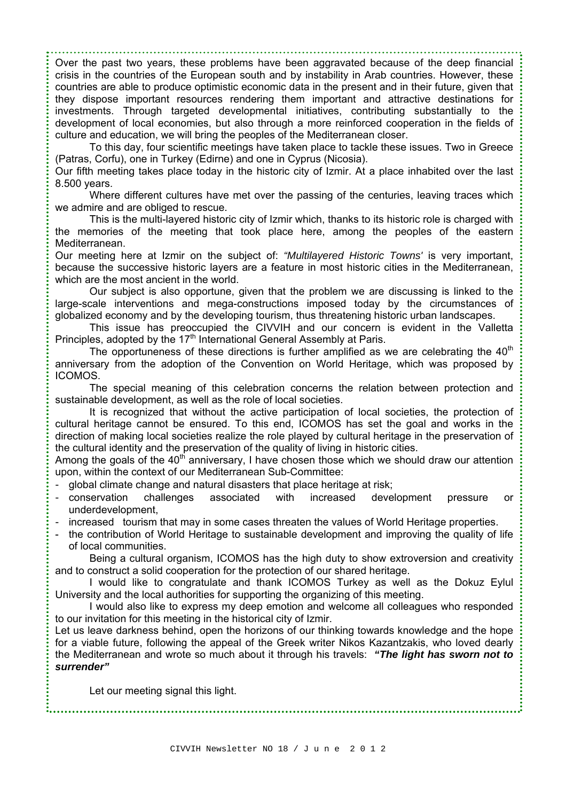Over the past two years, these problems have been aggravated because of the deep financial crisis in the countries of the European south and by instability in Arab countries. However, these countries are able to produce optimistic economic data in the present and in their future, given that they dispose important resources rendering them important and attractive destinations for investments. Through targeted developmental initiatives, contributing substantially to the development of local economies, but also through a more reinforced cooperation in the fields of culture and education, we will bring the peoples of the Mediterranean closer.

To this day, four scientific meetings have taken place to tackle these issues. Two in Greece (Patras, Corfu), one in Turkey (Edirne) and one in Cyprus (Nicosia).

Our fifth meeting takes place today in the historic city of Izmir. At a place inhabited over the last 8.500 years.

Where different cultures have met over the passing of the centuries, leaving traces which we admire and are obliged to rescue.

This is the multi-layered historic city of Izmir which, thanks to its historic role is charged with the memories of the meeting that took place here, among the peoples of the eastern Mediterranean.

Our meeting here at Izmir on the subject of: *"Multilayered Historic Towns'* is very important, because the successive historic layers are a feature in most historic cities in the Mediterranean, which are the most ancient in the world.

Our subject is also opportune, given that the problem we are discussing is linked to the large-scale interventions and mega-constructions imposed today by the circumstances of globalized economy and by the developing tourism, thus threatening historic urban landscapes.

This issue has preoccupied the CIVVIH and our concern is evident in the Valletta Principles, adopted by the 17<sup>th</sup> International General Assembly at Paris.

The opportuneness of these directions is further amplified as we are celebrating the  $40<sup>th</sup>$ anniversary from the adoption of the Convention on World Heritage, which was proposed by ICOMOS.

The special meaning of this celebration concerns the relation between protection and sustainable development, as well as the role of local societies.

It is recognized that without the active participation of local societies, the protection of cultural heritage cannot be ensured. To this end, ICOMOS has set the goal and works in the direction of making local societies realize the role played by cultural heritage in the preservation of the cultural identity and the preservation of the quality of living in historic cities.

Among the goals of the  $40<sup>th</sup>$  anniversary, I have chosen those which we should draw our attention upon, within the context of our Mediterranean Sub-Committee:

- global climate change and natural disasters that place heritage at risk;
- conservation challenges associated with increased development pressure or underdevelopment,
- increased tourism that may in some cases threaten the values of World Heritage properties.
- the contribution of World Heritage to sustainable development and improving the quality of life of local communities.

Being a cultural organism, ICOMOS has the high duty to show extroversion and creativity and to construct a solid cooperation for the protection of our shared heritage.

I would like to congratulate and thank ICOMOS Turkey as well as the Dokuz Eylul University and the local authorities for supporting the organizing of this meeting.

I would also like to express my deep emotion and welcome all colleagues who responded to our invitation for this meeting in the historical city of Izmir.

Let us leave darkness behind, open the horizons of our thinking towards knowledge and the hope for a viable future, following the appeal of the Greek writer Nikos Kazantzakis, who loved dearly the Mediterranean and wrote so much about it through his travels: *"The light has sworn not to surrender"* 

Let our meeting signal this light.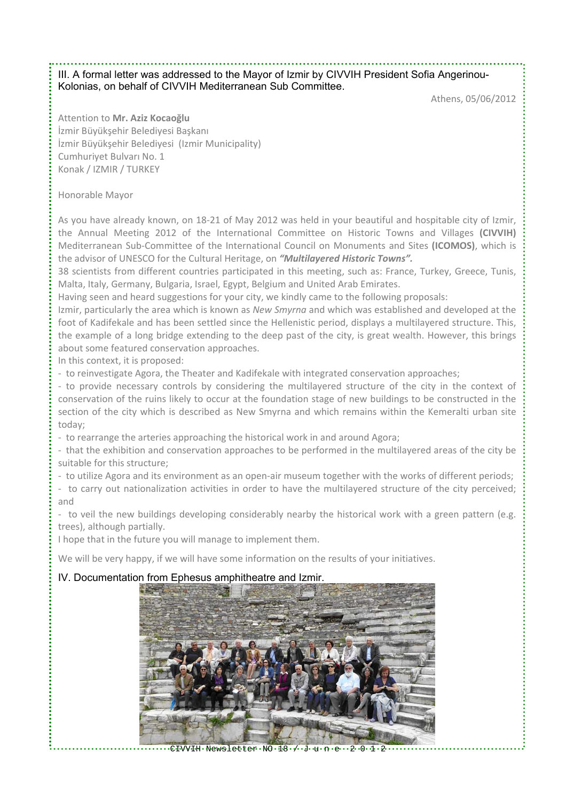## III. A formal letter was addressed to the Mayor of Izmir by CIVVIH President Sofia Angerinou-Kolonias, on behalf of CIVVIH Mediterranean Sub Committee.

Athens, 05/06/2012

Attention to **Mr. Aziz Kocaoğlu** İzmir Büyükşehir Belediyesi Başkanı İzmir Büyükşehir Belediyesi (Izmir Municipality) Cumhuriyet Bulvarı No. 1 Konak / IZMIR / TURKEY

## Honorable Mayor

As you have already known, on 18‐21 of May 2012 was held in your beautiful and hospitable city of Izmir, the Annual Meeting 2012 of the International Committee on Historic Towns and Villages **(CIVVIH)** Mediterranean Sub‐Committee of the International Council on Monuments and Sites **(ICOMOS)**, which is the advisor of UNESCO for the Cultural Heritage, on *"Multilayered Historic Towns".*

38 scientists from different countries participated in this meeting, such as: France, Turkey, Greece, Tunis, Malta, Italy, Germany, Bulgaria, Israel, Egypt, Belgium and United Arab Emirates.

Having seen and heard suggestions for your city, we kindly came to the following proposals:

Izmir, particularly the area which is known as *New Smyrna* and which was established and developed at the foot of Kadifekale and has been settled since the Hellenistic period, displays a multilayered structure. This, the example of a long bridge extending to the deep past of the city, is great wealth. However, this brings about some featured conservation approaches.

In this context, it is proposed:

‐ to reinvestigate Agora, the Theater and Kadifekale with integrated conservation approaches;

‐ to provide necessary controls by considering the multilayered structure of the city in the context of conservation of the ruins likely to occur at the foundation stage of new buildings to be constructed in the section of the city which is described as New Smyrna and which remains within the Kemeralti urban site today;

‐ to rearrange the arteries approaching the historical work in and around Agora;

‐ that the exhibition and conservation approaches to be performed in the multilayered areas of the city be suitable for this structure;

‐ to utilize Agora and its environment as an open‐air museum together with the works of different periods;

‐ to carry out nationalization activities in order to have the multilayered structure of the city perceived; and

- to veil the new buildings developing considerably nearby the historical work with a green pattern (e.g. trees), although partially.

I hope that in the future you will manage to implement them.

We will be very happy, if we will have some information on the results of your initiatives.

## IV. Documentation from Ephesus amphitheatre and Izmir.



 $\cdot$  CIVVIH  $\cdot$  Newsletter  $\cdot$  NO  $\cdot$  1.8  $\cdot$   $\cdot'$  . J  $\cdot$  u  $\cdot$  n  $\cdot$  e $\cdot$   $\cdot$  2  $\cdot$  0  $\cdot$  1  $\cdot$  2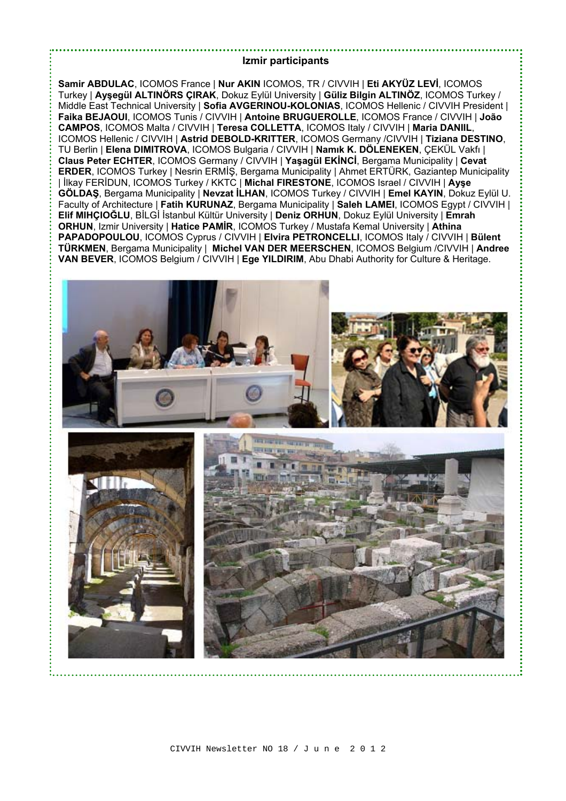#### **Izmir participants**

**Samir ABDULAC**, ICOMOS France | **Nur AKIN** ICOMOS, TR / CIVVIH | **Eti AKYÜZ LEVİ**, ICOMOS Turkey | **Ayşegül ALTINÖRS ÇIRAK**, Dokuz Eylül University | **Güliz Bilgin ALTINÖZ**, ICOMOS Turkey / Middle East Technical University | **Sofia AVGERINOU-KOLONIAS**, ICOMOS Hellenic / CIVVIH President | **Faika BEJAOUI**, ICOMOS Tunis / CIVVIH | **Antoine BRUGUEROLLE**, ICOMOS France / CIVVIH | **João CAMPOS**, ICOMOS Malta / CIVVIH | **Teresa COLLETTA**, ICOMOS Italy / CIVVIH | **Maria DANIIL**, ICOMOS Hellenic / CIVVIH | **Astrid DEBOLD-KRITTER**, ICOMOS Germany /CIVVIH | **Tiziana DESTINO**, TU Berlin | **Elena DIMITROVA**, ICOMOS Bulgaria / CIVVIH | **Namık K. DÖLENEKEN**, ÇEKÜL Vakfı | **Claus Peter ECHTER**, ICOMOS Germany / CIVVIH | **Yaşagül EKİNCİ**, Bergama Municipality | **Cevat ERDER**, ICOMOS Turkey | Nesrin ERMİŞ, Bergama Municipality | Ahmet ERTÜRK, Gaziantep Municipality | İlkay FERİDUN, ICOMOS Turkey / KKTC | **Michal FIRESTONE**, ICOMOS Israel / CIVVIH | **Ayşe GÖLDAŞ**, Bergama Municipality | **Nevzat İLHAN**, ICOMOS Turkey / CIVVIH | **Emel KAYIN**, Dokuz Eylül U. Faculty of Architecture | **Fatih KURUNAZ**, Bergama Municipality | **Saleh LAMEI**, ICOMOS Egypt / CIVVIH | **Elif MIHÇIOĞLU**, BİLGİ İstanbul Kültür University | **Deniz ORHUN**, Dokuz Eylül University | **Emrah ORHUN**, Izmir University | **Hatice PAMIR**, ICOMOS Turkey / Mustafa Kemal University | Athina **PAPADOPOULOU**, ICOMOS Cyprus / CIVVIH | **Elvira PETRONCELLI**, ICOMOS Italy / CIVVIH | **Bülent TÜRKMEN**, Bergama Municipality | **Michel VAN DER MEERSCHEN**, ICOMOS Belgium /CIVVIH | **Andree VAN BEVER**, ICOMOS Belgium / CIVVIH | **Ege YILDIRIM**, Abu Dhabi Authority for Culture & Heritage.

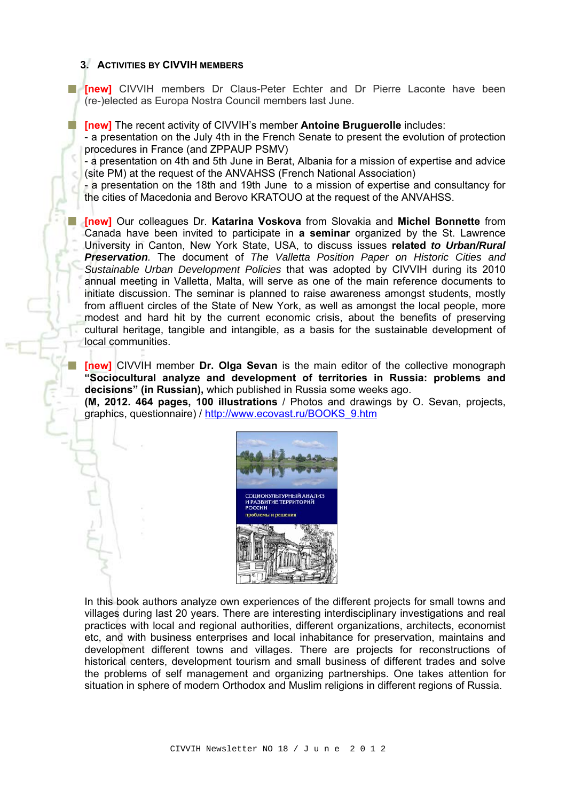## **3. ACTIVITIES BY CIVVIH MEMBERS**

**Fi** [new] CIVVIH members Dr Claus-Peter Echter and Dr Pierre Laconte have been (re-)elected as Europa Nostra Council members last June.

**[indem]** The recent activity of CIVVIH's member **Antoine Bruguerolle** includes:

- a presentation on the July 4th in the French Senate to present the evolution of protection procedures in France (and ZPPAUP PSMV)

- a presentation on 4th and 5th June in Berat, Albania for a mission of expertise and advice (site PM) at the request of the ANVAHSS (French National Association)

- a presentation on the 18th and 19th June to a mission of expertise and consultancy for the cities of Macedonia and Berovo KRATOUO at the request of the ANVAHSS.

**[new]** Our colleagues Dr. **Katarina Voskova** from Slovakia and **Michel Bonnette** from Canada have been invited to participate in **a seminar** organized by the St. Lawrence University in Canton, New York State, USA, to discuss issues **related** *to Urban/Rural Preservation.* The document of *The Valletta Position Paper on Historic Cities and Sustainable Urban Development Policies* that was adopted by CIVVIH during its 2010 annual meeting in Valletta, Malta, will serve as one of the main reference documents to initiate discussion. The seminar is planned to raise awareness amongst students, mostly from affluent circles of the State of New York, as well as amongst the local people, more modest and hard hit by the current economic crisis, about the benefits of preserving cultural heritage, tangible and intangible, as a basis for the sustainable development of local communities.

**[new]** CIVVIH member **Dr. Olga Sevan** is the main editor of the collective monograph **"Sociocultural analyze and development of territories in Russia: problems and decisions" (in Russian),** which published in Russia some weeks ago.

**(M, 2012. 464 pages, 100 illustrations** / Photos and drawings by O. Sevan, projects, graphics, questionnaire) / http://www.ecovast.ru/BOOKS\_9.htm



In this book authors analyze own experiences of the different projects for small towns and villages during last 20 years. There are interesting interdisciplinary investigations and real practices with local and regional authorities, different organizations, architects, economist etc, and with business enterprises and local inhabitance for preservation, maintains and development different towns and villages. There are projects for reconstructions of historical centers, development tourism and small business of different trades and solve the problems of self management and organizing partnerships. One takes attention for situation in sphere of modern Orthodox and Muslim religions in different regions of Russia.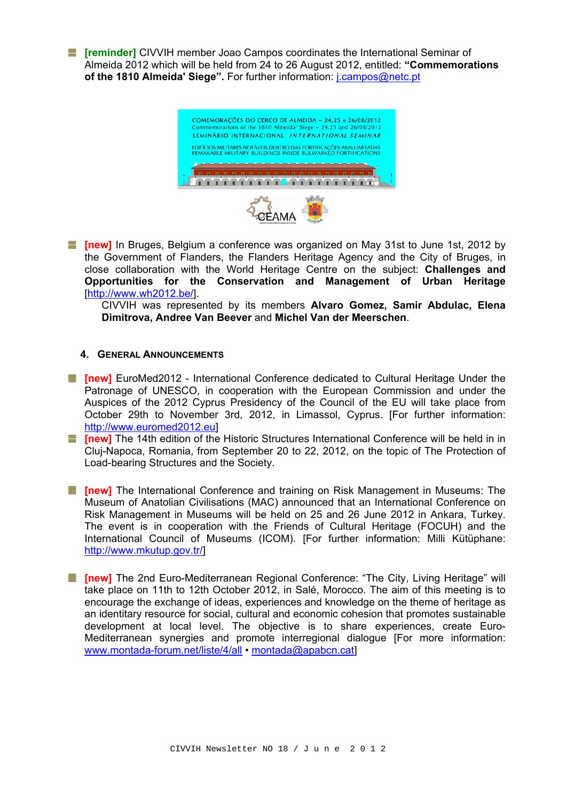**[art] [reminder]** CIVVIH member Joao Campos coordinates the International Seminar of Almeida 2012 which will be held from 24 to 26 August 2012, entitled: **"Commemorations of the 1810 Almeida' Siege".** For further information: j.campos@netc.pt

COMEMORAÇÕES DO CERCO DE ALMEIDA ~ 24,25 e 26/08/2012 trations of the 1810 Almeida' Siege  $-24.25$  and 26/08/201 SEMINÁRIO INTERNACIONAL INTERNATIONAL SEMINAR EDIFÍCIOS MILITARES NOTÁVEIS DENTRO DAS FORTIFICAÇÕES ABALUARTADAS<br>REMAKABLE MILITARY BUILDINGS INSIDE BULWARKÉD FORTIFICATIONS <u> AAAAAAAAAAAAAAAAAAA</u>"

**Fig. Thew]** In Bruges, Belgium a conference was organized on May 31st to June 1st, 2012 by the Government of Flanders, the Flanders Heritage Agency and the City of Bruges, in close collaboration with the World Heritage Centre on the subject: **Challenges and Opportunities for the Conservation and Management of Urban Heritage** [http://www.wh2012.be/].

CIVVIH was represented by its members **Alvaro Gomez, Samir Abdulac, Elena Dimitrova, Andree Van Beever** and **Michel Van der Meerschen**.

#### **4. GENERAL ANNOUNCEMENTS**

- **[absolut]** Finew] EuroMed2012 International Conference dedicated to Cultural Heritage Under the Patronage of UNESCO, in cooperation with the European Commission and under the Auspices of the 2012 Cyprus Presidency of the Council of the EU will take place from October 29th to November 3rd, 2012, in Limassol, Cyprus. [For further information: http://www.euromed2012.eu]
- **[act ] The WI** The 14th edition of the Historic Structures International Conference will be held in in Cluj-Napoca, Romania, from September 20 to 22, 2012, on the topic of The Protection of Load-bearing Structures and the Society.
- **[abilibrary]** The International Conference and training on Risk Management in Museums: The Museum of Anatolian Civilisations (MAC) announced that an International Conference on Risk Management in Museums will be held on 25 and 26 June 2012 in Ankara, Turkey. The event is in cooperation with the Friends of Cultural Heritage (FOCUH) and the International Council of Museums (ICOM). [For further information: Milli Kütüphane: http://www.mkutup.gov.tr/]
- **I** [new] The 2nd Euro-Mediterranean Regional Conference: "The City, Living Heritage" will take place on 11th to 12th October 2012, in Salé, Morocco. The aim of this meeting is to encourage the exchange of ideas, experiences and knowledge on the theme of heritage as an identitary resource for social, cultural and economic cohesion that promotes sustainable development at local level. The objective is to share experiences, create Euro-Mediterranean synergies and promote interregional dialogue [For more information: www.montada-forum.net/liste/4/all • montada@apabcn.cat]